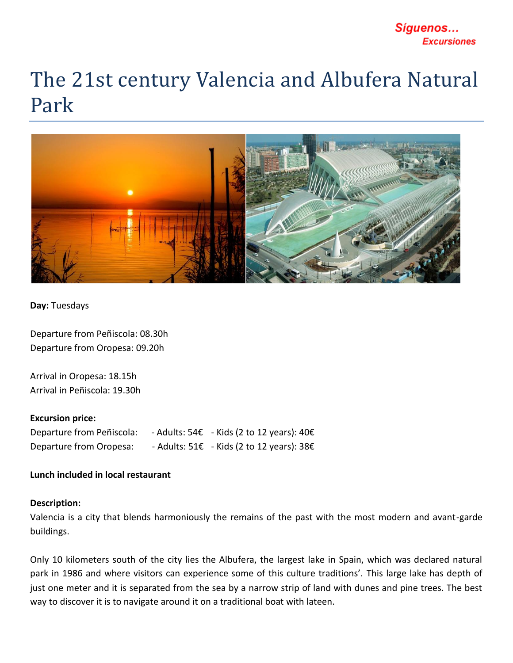# Síguenos... **Excursiones**

# The 21st century Valencia and Albufera Natural Park



## **Day:** Tuesdays

Departure from Peñiscola: 08.30h Departure from Oropesa: 09.20h

Arrival in Oropesa: 18.15h Arrival in Peñiscola: 19.30h

#### **Excursion price:**

| Departure from Peñiscola: | - Adults: $54E$ - Kids (2 to 12 years): $40E$               |
|---------------------------|-------------------------------------------------------------|
| Departure from Oropesa:   | - Adults: $51\epsilon$ - Kids (2 to 12 years): $38\epsilon$ |

## **Lunch included in local restaurant**

#### **Description:**

Valencia is a city that blends harmoniously the remains of the past with the most modern and avant-garde buildings.

Only 10 kilometers south of the city lies the Albufera, the largest lake in Spain, which was declared natural park in 1986 and where visitors can experience some of this culture traditions'. This large lake has depth of just one meter and it is separated from the sea by a narrow strip of land with dunes and pine trees. The best way to discover it is to navigate around it on a traditional boat with lateen.